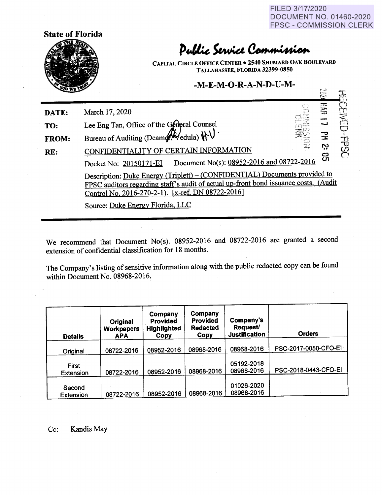FILED 3/17/2020 DOCUMENT NO. 01460-2020 FPSC - COMMISSION CLERK

 $\Xi$ 



## Public Service Commission

**CAPITAL CmcLE OFFICE CENTER** • **2540 SHUMARD OAK BOULEVARD TALLAHASSEE, FLORIDA 32399-0850** 

## **-M-E-M-0-R-A-N-D-U-M-**

| <b>SUD WELL</b> | $\mathbb{R}^2$                                                                                                                                                                                                          |
|-----------------|-------------------------------------------------------------------------------------------------------------------------------------------------------------------------------------------------------------------------|
| DATE:           | <b>SF</b><br>March 17, 2020                                                                                                                                                                                             |
| TO:             | Lee Eng Tan, Office of the General Counsel                                                                                                                                                                              |
| <b>FROM:</b>    | Bureau of Auditing (Deam Hill edula) $\mathcal{H} \cup$ .<br>$\mathbb{R}$                                                                                                                                               |
| RE:             | 宁<br>②<br>Č,<br>DENTIALITY OF CERTAIN INFORMATION                                                                                                                                                                       |
|                 | ဌ<br>Document No(s): 08952-2016 and 08722-2016<br>Docket No: 20150171-EI                                                                                                                                                |
|                 | Description: Duke Energy (Triplett) – (CONFIDENTIAL) Documents provided to<br>FPSC auditors regarding staff's audit of actual up-front bond issuance costs. (Audit<br>Control No. 2016-270-2-1). [x-ref. DN 08722-2016] |
|                 | Source: Duke Energy Florida, LLC                                                                                                                                                                                        |

We recommend that Document No(s). 08952-2016 and 08722-2016 are granted a second extension of confidential classification for 18 months.

The Company's listing of sensitive information along with the public redacted copy can be found within Document No. 08968-2016.

| <b>Details</b>             | Original<br><b>Workpapers</b><br><b>APA</b> | Company<br><b>Provided</b><br><b>Highlighted</b><br>Copy | Company<br><b>Provided</b><br><b>Redacted</b><br>Copy | Company's<br><b>Request</b><br><b>Justification</b> | <b>Orders</b>        |
|----------------------------|---------------------------------------------|----------------------------------------------------------|-------------------------------------------------------|-----------------------------------------------------|----------------------|
|                            |                                             |                                                          |                                                       |                                                     |                      |
| Original                   | 08722-2016                                  | 08952-2016                                               | 08968-2016                                            | 08968-2016                                          | PSC-2017-0050-CFO-EI |
| First<br><b>Extension</b>  | 08722-2016                                  | 08952-2016                                               | 08968-2016                                            | 05192-2018<br>08968-2016                            | PSC-2018-0443-CFO-EI |
|                            |                                             |                                                          |                                                       |                                                     |                      |
| Second<br><b>Extension</b> | 08722-2016                                  | 08952-2016                                               | 08968-2016                                            | 01026-2020<br>08968-2016                            |                      |

Cc: Kandis May